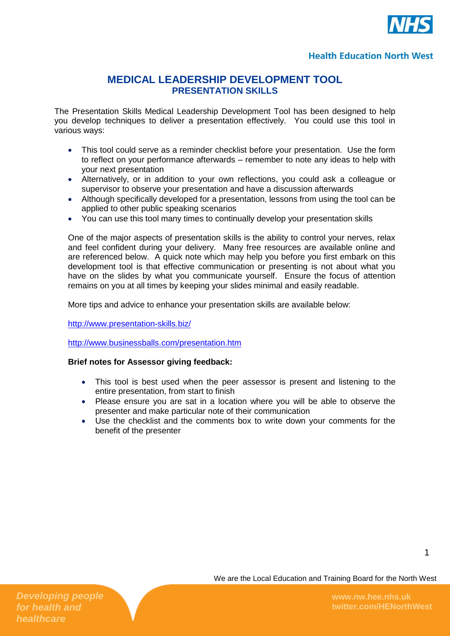

### **Health Education North West**

## **MEDICAL LEADERSHIP DEVELOPMENT TOOL PRESENTATION SKILLS**

The Presentation Skills Medical Leadership Development Tool has been designed to help you develop techniques to deliver a presentation effectively. You could use this tool in various ways:

- This tool could serve as a reminder checklist before your presentation. Use the form to reflect on your performance afterwards – remember to note any ideas to help with your next presentation
- Alternatively, or in addition to your own reflections, you could ask a colleague or supervisor to observe your presentation and have a discussion afterwards
- Although specifically developed for a presentation, lessons from using the tool can be applied to other public speaking scenarios
- You can use this tool many times to continually develop your presentation skills

One of the major aspects of presentation skills is the ability to control your nerves, relax and feel confident during your delivery. Many free resources are available online and are referenced below. A quick note which may help you before you first embark on this development tool is that effective communication or presenting is not about what you have on the slides by what you communicate yourself. Ensure the focus of attention remains on you at all times by keeping your slides minimal and easily readable.

More tips and advice to enhance your presentation skills are available below:

<http://www.presentation-skills.biz/>

<http://www.businessballs.com/presentation.htm>

#### **Brief notes for Assessor giving feedback:**

- This tool is best used when the peer assessor is present and listening to the entire presentation, from start to finish
- Please ensure you are sat in a location where you will be able to observe the presenter and make particular note of their communication
- Use the checklist and the comments box to write down your comments for the benefit of the presenter

We are the Local Education and Training Board for the North West

*Developing people for health and healthcare*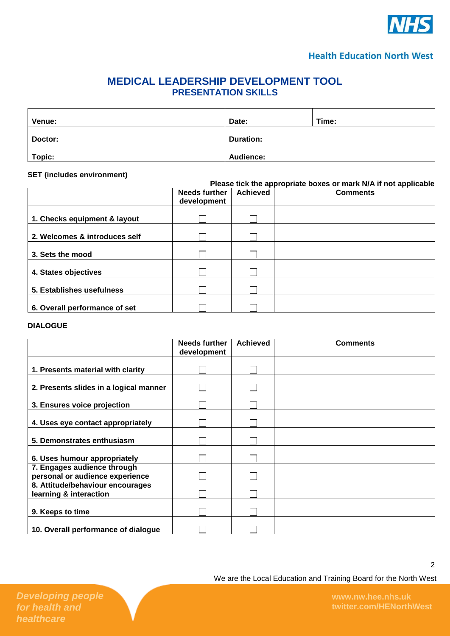

### **Health Education North West**

# **MEDICAL LEADERSHIP DEVELOPMENT TOOL PRESENTATION SKILLS**

| Venue:  | Date:            | Time: |
|---------|------------------|-------|
| Doctor: | <b>Duration:</b> |       |
| Topic:  | <b>Audience:</b> |       |

#### **SET (includes environment)**

|                               | Please tick the appropriate boxes or mark N/A if not applicable |                 |                 |  |
|-------------------------------|-----------------------------------------------------------------|-----------------|-----------------|--|
|                               | <b>Needs further</b><br>development                             | <b>Achieved</b> | <b>Comments</b> |  |
| 1. Checks equipment & layout  |                                                                 |                 |                 |  |
| 2. Welcomes & introduces self |                                                                 |                 |                 |  |
| 3. Sets the mood              |                                                                 |                 |                 |  |
| 4. States objectives          |                                                                 |                 |                 |  |
| 5. Establishes usefulness     |                                                                 |                 |                 |  |
| 6. Overall performance of set |                                                                 |                 |                 |  |

### **DIALOGUE**

|                                                                | <b>Needs further</b><br>development | <b>Achieved</b> | <b>Comments</b> |
|----------------------------------------------------------------|-------------------------------------|-----------------|-----------------|
|                                                                |                                     |                 |                 |
| 1. Presents material with clarity                              |                                     |                 |                 |
| 2. Presents slides in a logical manner                         |                                     |                 |                 |
| 3. Ensures voice projection                                    |                                     |                 |                 |
| 4. Uses eye contact appropriately                              |                                     |                 |                 |
| 5. Demonstrates enthusiasm                                     |                                     |                 |                 |
| 6. Uses humour appropriately                                   |                                     |                 |                 |
| 7. Engages audience through<br>personal or audience experience |                                     |                 |                 |
| 8. Attitude/behaviour encourages<br>learning & interaction     |                                     |                 |                 |
| 9. Keeps to time                                               |                                     |                 |                 |
| 10. Overall performance of dialogue                            |                                     |                 |                 |

We are the Local Education and Training Board for the North West

**twitter.com/HENorthWest**

2